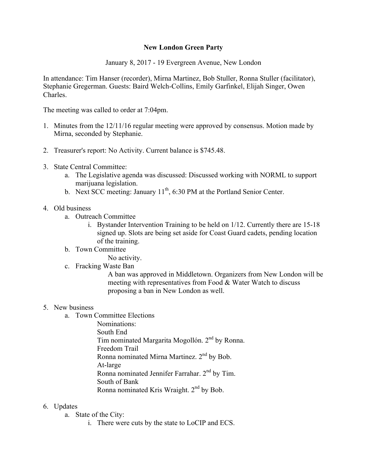## **New London Green Party**

January 8, 2017 - 19 Evergreen Avenue, New London

In attendance: Tim Hanser (recorder), Mirna Martinez, Bob Stuller, Ronna Stuller (facilitator), Stephanie Gregerman. Guests: Baird Welch-Collins, Emily Garfinkel, Elijah Singer, Owen Charles.

The meeting was called to order at 7:04pm.

- 1. Minutes from the 12/11/16 regular meeting were approved by consensus. Motion made by Mirna, seconded by Stephanie.
- 2. Treasurer's report: No Activity. Current balance is \$745.48.
- 3. State Central Committee:
	- a. The Legislative agenda was discussed: Discussed working with NORML to support marijuana legislation.
	- b. Next SCC meeting: January  $11^{th}$ , 6:30 PM at the Portland Senior Center.

## 4. Old business

- a. Outreach Committee
	- i. Bystander Intervention Training to be held on 1/12. Currently there are 15-18 signed up. Slots are being set aside for Coast Guard cadets, pending location of the training.
- b. Town Committee No activity.
- c. Fracking Waste Ban

A ban was approved in Middletown. Organizers from New London will be meeting with representatives from Food & Water Watch to discuss proposing a ban in New London as well.

## 5. New business

- a. Town Committee Elections
	- Nominations: South End Tim nominated Margarita Mogollón. 2<sup>nd</sup> by Ronna. Freedom Trail Ronna nominated Mirna Martinez.  $2<sup>nd</sup>$  by Bob. At-large Ronna nominated Jennifer Farrahar. 2nd by Tim. South of Bank Ronna nominated Kris Wraight.  $2<sup>nd</sup>$  by Bob.

## 6. Updates

- a. State of the City:
	- i. There were cuts by the state to LoCIP and ECS.